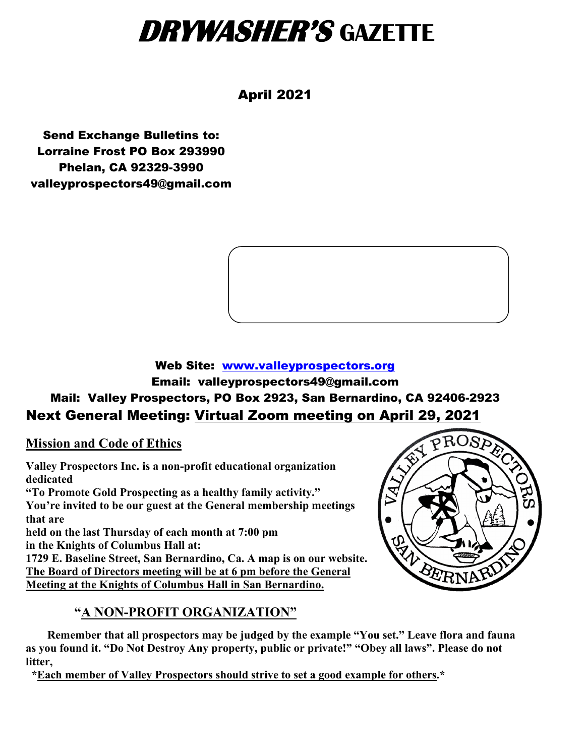## **DRYWASHER'S GAZETTE**

#### April 2021

Send Exchange Bulletins to: Lorraine Frost PO Box 293990 Phelan, CA 92329-3990 valleyprospectors49@gmail.com



#### Web Site: [www.valleyprospectors.org](http://www.valleyprospectors.org/) Email: valleyprospectors49@gmail.com Mail: Valley Prospectors, PO Box 2923, San Bernardino, CA 92406-2923 Next General Meeting: Virtual Zoom meeting on April 29, 2021

**Mission and Code of Ethics**

**Valley Prospectors Inc. is a non-profit educational organization dedicated "To Promote Gold Prospecting as a healthy family activity." You're invited to be our guest at the General membership meetings that are held on the last Thursday of each month at 7:00 pm in the Knights of Columbus Hall at: 1729 E. Baseline Street, San Bernardino, Ca. A map is on our website. The Board of Directors meeting will be at 6 pm before the General**

**Meeting at the Knights of Columbus Hall in San Bernardino.**

#### **"A NON-PROFIT ORGANIZATION"**



PROSPE

 **Remember that all prospectors may be judged by the example "You set." Leave flora and fauna as you found it. "Do Not Destroy Any property, public or private!" "Obey all laws". Please do not litter,** 

 **\*Each member of Valley Prospectors should strive to set a good example for others.\***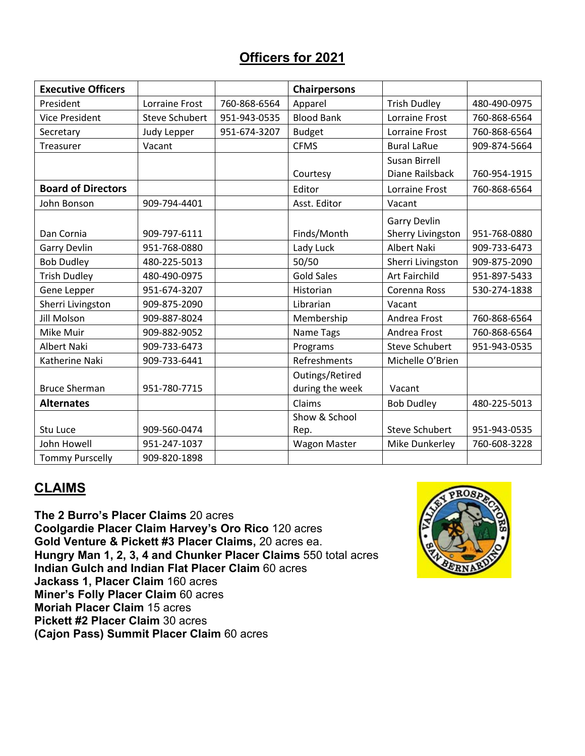#### **Officers for 2021**

| <b>Executive Officers</b> |                       |              | <b>Chairpersons</b> |                       |              |
|---------------------------|-----------------------|--------------|---------------------|-----------------------|--------------|
| President                 | Lorraine Frost        | 760-868-6564 | Apparel             | <b>Trish Dudley</b>   | 480-490-0975 |
| <b>Vice President</b>     | <b>Steve Schubert</b> | 951-943-0535 | <b>Blood Bank</b>   | Lorraine Frost        | 760-868-6564 |
| Secretary                 | <b>Judy Lepper</b>    | 951-674-3207 | <b>Budget</b>       | Lorraine Frost        | 760-868-6564 |
| Treasurer                 | Vacant                |              | <b>CFMS</b>         | <b>Bural LaRue</b>    | 909-874-5664 |
|                           |                       |              |                     | <b>Susan Birrell</b>  |              |
|                           |                       |              | Courtesy            | Diane Railsback       | 760-954-1915 |
| <b>Board of Directors</b> |                       |              | Editor              | <b>Lorraine Frost</b> | 760-868-6564 |
| John Bonson               | 909-794-4401          |              | Asst. Editor        | Vacant                |              |
|                           |                       |              |                     | <b>Garry Devlin</b>   |              |
| Dan Cornia                | 909-797-6111          |              | Finds/Month         | Sherry Livingston     | 951-768-0880 |
| <b>Garry Devlin</b>       | 951-768-0880          |              | Lady Luck           | <b>Albert Naki</b>    | 909-733-6473 |
| <b>Bob Dudley</b>         | 480-225-5013          |              | 50/50               | Sherri Livingston     | 909-875-2090 |
| <b>Trish Dudley</b>       | 480-490-0975          |              | <b>Gold Sales</b>   | <b>Art Fairchild</b>  | 951-897-5433 |
| Gene Lepper               | 951-674-3207          |              | Historian           | Corenna Ross          | 530-274-1838 |
| Sherri Livingston         | 909-875-2090          |              | Librarian           | Vacant                |              |
| <b>Jill Molson</b>        | 909-887-8024          |              | Membership          | Andrea Frost          | 760-868-6564 |
| Mike Muir                 | 909-882-9052          |              | Name Tags           | Andrea Frost          | 760-868-6564 |
| <b>Albert Naki</b>        | 909-733-6473          |              | Programs            | <b>Steve Schubert</b> | 951-943-0535 |
| Katherine Naki            | 909-733-6441          |              | Refreshments        | Michelle O'Brien      |              |
|                           |                       |              | Outings/Retired     |                       |              |
| <b>Bruce Sherman</b>      | 951-780-7715          |              | during the week     | Vacant                |              |
| <b>Alternates</b>         |                       |              | Claims              | <b>Bob Dudley</b>     | 480-225-5013 |
|                           |                       |              | Show & School       |                       |              |
| Stu Luce                  | 909-560-0474          |              | Rep.                | <b>Steve Schubert</b> | 951-943-0535 |
| John Howell               | 951-247-1037          |              | <b>Wagon Master</b> | Mike Dunkerley        | 760-608-3228 |
| <b>Tommy Purscelly</b>    | 909-820-1898          |              |                     |                       |              |

#### **CLAIMS**

**The 2 Burro's Placer Claims** 20 acres **Coolgardie Placer Claim Harvey's Oro Rico** 120 acres **Gold Venture & Pickett #3 Placer Claims,** 20 acres ea. **Hungry Man 1, 2, 3, 4 and Chunker Placer Claims** 550 total acres **Indian Gulch and Indian Flat Placer Claim** 60 acres **Jackass 1, Placer Claim** 160 acres **Miner's Folly Placer Claim** 60 acres **Moriah Placer Claim** 15 acres **Pickett #2 Placer Claim** 30 acres **(Cajon Pass) Summit Placer Claim** 60 acres

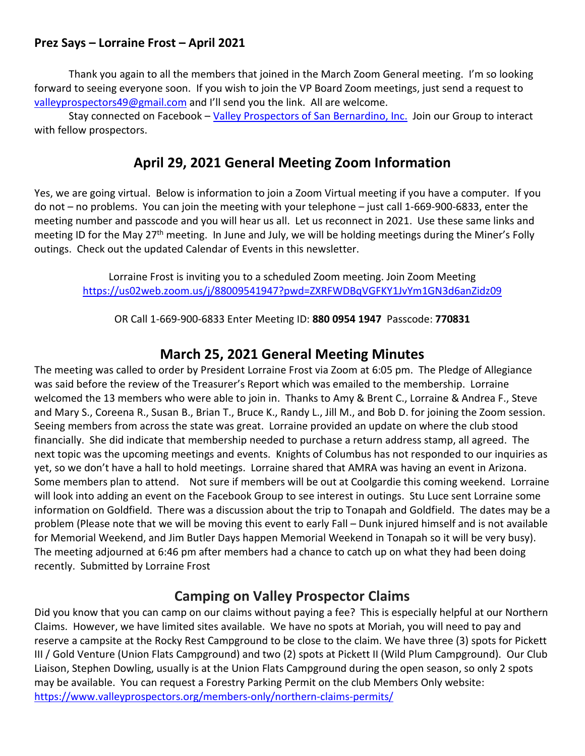#### **Prez Says – Lorraine Frost – April 2021**

Thank you again to all the members that joined in the March Zoom General meeting. I'm so looking forward to seeing everyone soon. If you wish to join the VP Board Zoom meetings, just send a request to [valleyprospectors49@gmail.com](mailto:valleyprospectors49@gmail.com) and I'll send you the link. All are welcome.

Stay connected on Facebook – [Valley Prospectors of San Bernardino, Inc.](https://www.facebook.com/Valley-Prospectors-of-San-Bernardino-Inc-149917568386648) Join our Group to interact with fellow prospectors.

#### **April 29, 2021 General Meeting Zoom Information**

Yes, we are going virtual. Below is information to join a Zoom Virtual meeting if you have a computer. If you do not – no problems. You can join the meeting with your telephone – just call 1-669-900-6833, enter the meeting number and passcode and you will hear us all. Let us reconnect in 2021. Use these same links and meeting ID for the May 27<sup>th</sup> meeting. In June and July, we will be holding meetings during the Miner's Folly outings. Check out the updated Calendar of Events in this newsletter.

Lorraine Frost is inviting you to a scheduled Zoom meeting. Join Zoom Meeting <https://us02web.zoom.us/j/88009541947?pwd=ZXRFWDBqVGFKY1JvYm1GN3d6anZidz09>

OR Call 1-669-900-6833 Enter Meeting ID: **880 0954 1947** Passcode: **770831**

#### **March 25, 2021 General Meeting Minutes**

The meeting was called to order by President Lorraine Frost via Zoom at 6:05 pm. The Pledge of Allegiance was said before the review of the Treasurer's Report which was emailed to the membership. Lorraine welcomed the 13 members who were able to join in. Thanks to Amy & Brent C., Lorraine & Andrea F., Steve and Mary S., Coreena R., Susan B., Brian T., Bruce K., Randy L., Jill M., and Bob D. for joining the Zoom session. Seeing members from across the state was great. Lorraine provided an update on where the club stood financially. She did indicate that membership needed to purchase a return address stamp, all agreed. The next topic was the upcoming meetings and events. Knights of Columbus has not responded to our inquiries as yet, so we don't have a hall to hold meetings. Lorraine shared that AMRA was having an event in Arizona. Some members plan to attend. Not sure if members will be out at Coolgardie this coming weekend. Lorraine will look into adding an event on the Facebook Group to see interest in outings. Stu Luce sent Lorraine some information on Goldfield. There was a discussion about the trip to Tonapah and Goldfield. The dates may be a problem (Please note that we will be moving this event to early Fall – Dunk injured himself and is not available for Memorial Weekend, and Jim Butler Days happen Memorial Weekend in Tonapah so it will be very busy). The meeting adjourned at 6:46 pm after members had a chance to catch up on what they had been doing recently. Submitted by Lorraine Frost

#### **Camping on Valley Prospector Claims**

Did you know that you can camp on our claims without paying a fee? This is especially helpful at our Northern Claims. However, we have limited sites available. We have no spots at Moriah, you will need to pay and reserve a campsite at the Rocky Rest Campground to be close to the claim. We have three (3) spots for Pickett III / Gold Venture (Union Flats Campground) and two (2) spots at Pickett II (Wild Plum Campground). Our Club Liaison, Stephen Dowling, usually is at the Union Flats Campground during the open season, so only 2 spots may be available. You can request a Forestry Parking Permit on the club Members Only website: <https://www.valleyprospectors.org/members-only/northern-claims-permits/>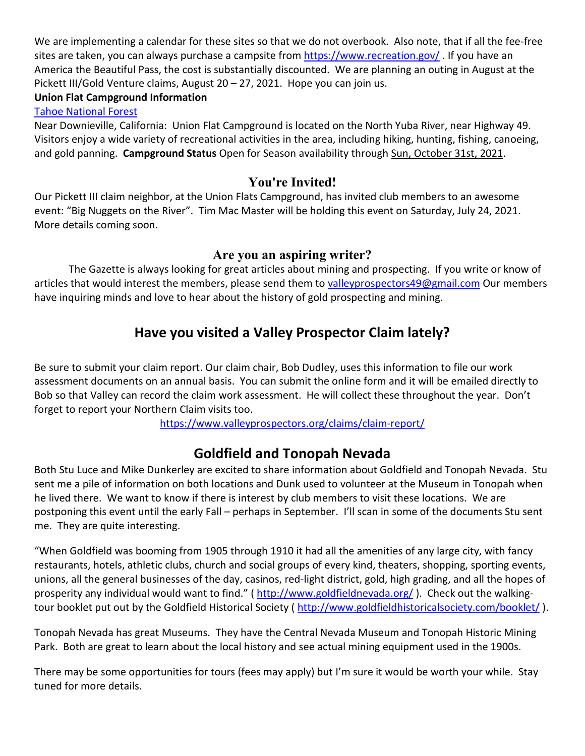We are implementing a calendar for these sites so that we do not overbook. Also note, that if all the fee-free sites are taken, you can always purchase a campsite from<https://www.recreation.gov/>. If you have an America the Beautiful Pass, the cost is substantially discounted. We are planning an outing in August at the Pickett III/Gold Venture claims, August 20 – 27, 2021. Hope you can join us.

#### **Union Flat Campground Information**

[Tahoe National Forest](https://www.recreation.gov/camping/gateways/1077)

Near Downieville, California: Union Flat Campground is located on the North Yuba River, near Highway 49. Visitors enjoy a wide variety of recreational activities in the area, including hiking, hunting, fishing, canoeing, and gold panning. **Campground Status** Open for Season availability through Sun, October 31st, 2021.

#### **You're Invited!**

Our Pickett III claim neighbor, at the Union Flats Campground, has invited club members to an awesome event: "Big Nuggets on the River". Tim Mac Master will be holding this event on Saturday, July 24, 2021. More details coming soon.

#### **Are you an aspiring writer?**

The Gazette is always looking for great articles about mining and prospecting. If you write or know of articles that would interest the members, please send them to [valleyprospectors49@gmail.com](mailto:valleyprospectors49@gmail.com) Our members have inquiring minds and love to hear about the history of gold prospecting and mining.

#### **Have you visited a Valley Prospector Claim lately?**

Be sure to submit your claim report. Our claim chair, Bob Dudley, uses this information to file our work assessment documents on an annual basis. You can submit the online form and it will be emailed directly to Bob so that Valley can record the claim work assessment. He will collect these throughout the year. Don't forget to report your Northern Claim visits too.

<https://www.valleyprospectors.org/claims/claim-report/>

#### **Goldfield and Tonopah Nevada**

Both Stu Luce and Mike Dunkerley are excited to share information about Goldfield and Tonopah Nevada. Stu sent me a pile of information on both locations and Dunk used to volunteer at the Museum in Tonopah when he lived there. We want to know if there is interest by club members to visit these locations. We are postponing this event until the early Fall – perhaps in September. I'll scan in some of the documents Stu sent me. They are quite interesting.

"When Goldfield was booming from 1905 through 1910 it had all the amenities of any large city, with fancy restaurants, hotels, athletic clubs, church and social groups of every kind, theaters, shopping, sporting events, unions, all the general businesses of the day, casinos, red-light district, gold, high grading, and all the hopes of prosperity any individual would want to find." (<http://www.goldfieldnevada.org/>). Check out the walkingtour booklet put out by the Goldfield Historical Society (<http://www.goldfieldhistoricalsociety.com/booklet/> ).

Tonopah Nevada has great Museums. They have the Central Nevada Museum and Tonopah Historic Mining Park. Both are great to learn about the local history and see actual mining equipment used in the 1900s.

There may be some opportunities for tours (fees may apply) but I'm sure it would be worth your while. Stay tuned for more details.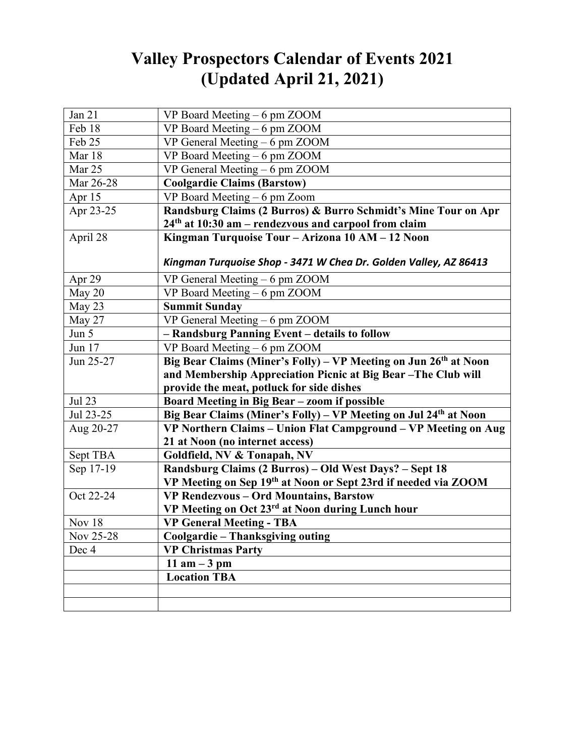### **Valley Prospectors Calendar of Events 2021 (Updated April 21, 2021)**

| Jan 21            | VP Board Meeting – 6 pm ZOOM                                                 |
|-------------------|------------------------------------------------------------------------------|
| Feb 18            | VP Board Meeting - 6 pm ZOOM                                                 |
| Feb 25            | VP General Meeting - 6 pm ZOOM                                               |
| Mar 18            | VP Board Meeting - 6 pm ZOOM                                                 |
| Mar 25            | VP General Meeting - 6 pm ZOOM                                               |
| Mar 26-28         | <b>Coolgardie Claims (Barstow)</b>                                           |
| Apr <sub>15</sub> | VP Board Meeting - 6 pm Zoom                                                 |
| Apr 23-25         | Randsburg Claims (2 Burros) & Burro Schmidt's Mine Tour on Apr               |
|                   | 24th at 10:30 am - rendezvous and carpool from claim                         |
| April 28          | Kingman Turquoise Tour - Arizona 10 AM - 12 Noon                             |
|                   |                                                                              |
|                   | Kingman Turquoise Shop - 3471 W Chea Dr. Golden Valley, AZ 86413             |
| Apr $29$          | VP General Meeting $-6$ pm ZOOM                                              |
| May 20            | VP Board Meeting - 6 pm ZOOM                                                 |
| May 23            | <b>Summit Sunday</b>                                                         |
| May 27            | VP General Meeting - 6 pm ZOOM                                               |
| Jun $5$           | - Randsburg Panning Event - details to follow                                |
| Jun 17            | VP Board Meeting - 6 pm ZOOM                                                 |
| Jun 25-27         | Big Bear Claims (Miner's Folly) – VP Meeting on Jun 26 <sup>th</sup> at Noon |
|                   | and Membership Appreciation Picnic at Big Bear-The Club will                 |
|                   | provide the meat, potluck for side dishes                                    |
| Jul 23            | Board Meeting in Big Bear - zoom if possible                                 |
| Jul 23-25         | Big Bear Claims (Miner's Folly) - VP Meeting on Jul 24th at Noon             |
| Aug 20-27         | VP Northern Claims - Union Flat Campground - VP Meeting on Aug               |
|                   | 21 at Noon (no internet access)                                              |
| Sept TBA          | Goldfield, NV & Tonapah, NV                                                  |
| Sep 17-19         | Randsburg Claims (2 Burros) - Old West Days? - Sept 18                       |
|                   | VP Meeting on Sep 19th at Noon or Sept 23rd if needed via ZOOM               |
| Oct 22-24         | VP Rendezvous - Ord Mountains, Barstow                                       |
|                   | VP Meeting on Oct 23rd at Noon during Lunch hour                             |
| Nov 18            | <b>VP General Meeting - TBA</b>                                              |
| Nov 25-28         | Coolgardie - Thanksgiving outing                                             |
| Dec 4             | <b>VP Christmas Party</b>                                                    |
|                   | 11 am $-3$ pm                                                                |
|                   | <b>Location TBA</b>                                                          |
|                   |                                                                              |
|                   |                                                                              |